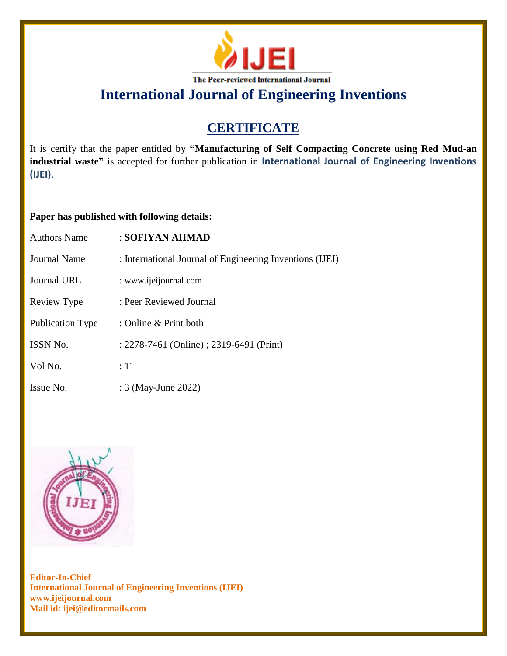

**International Journal of Engineering Inventions**

## **CERTIFICATE**

It is certify that the paper entitled by **"Manufacturing of Self Compacting Concrete using Red Mud-an industrial waste"** is accepted for further publication in **International Journal of Engineering Inventions (IJEI)**.

## **Paper has published with following details:**

| Authors Name            | : SOFIYAN AHMAD                                          |
|-------------------------|----------------------------------------------------------|
| Journal Name            | : International Journal of Engineering Inventions (IJEI) |
| <b>Journal URL</b>      | : www.ijeijournal.com                                    |
| Review Type             | : Peer Reviewed Journal                                  |
| <b>Publication Type</b> | : Online $\&$ Print both                                 |
| <b>ISSN No.</b>         | : 2278-7461 (Online) ; 2319-6491 (Print)                 |
| Vol No.                 | $\therefore$ 11                                          |
| Issue No.               | : 3 (May-June 2022)                                      |



**Editor-In-Chief International Journal of Engineering Inventions (IJEI) www.ijeijournal.com Mail id: ijei@editormails.com**